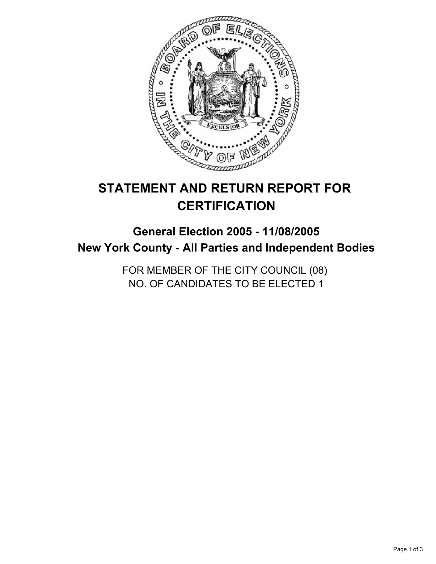

# **STATEMENT AND RETURN REPORT FOR CERTIFICATION**

# **General Election 2005 - 11/08/2005 New York County - All Parties and Independent Bodies**

FOR MEMBER OF THE CITY COUNCIL (08) NO. OF CANDIDATES TO BE ELECTED 1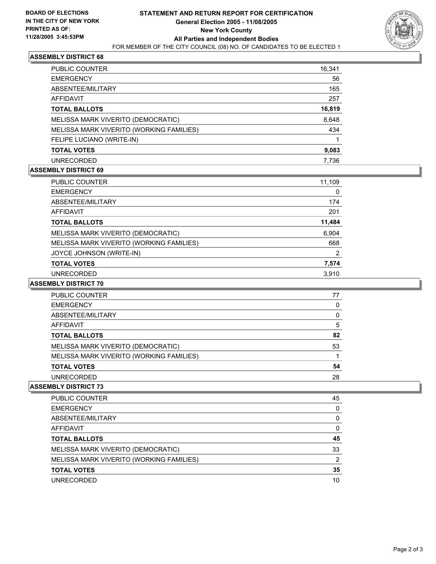

## **ASSEMBLY DISTRICT 68**

| <b>PUBLIC COUNTER</b>                    | 16,341 |
|------------------------------------------|--------|
| <b>EMERGENCY</b>                         | 56     |
| ABSENTEE/MILITARY                        | 165    |
| AFFIDAVIT                                | 257    |
| <b>TOTAL BALLOTS</b>                     | 16,819 |
| MELISSA MARK VIVERITO (DEMOCRATIC)       | 8,648  |
| MELISSA MARK VIVERITO (WORKING FAMILIES) | 434    |
| FELIPE LUCIANO (WRITE-IN)                |        |
| <b>TOTAL VOTES</b>                       | 9,083  |
| <b>UNRECORDED</b>                        | 7.736  |

#### **ASSEMBLY DISTRICT 69**

| PUBLIC COUNTER                           | 11,109 |  |
|------------------------------------------|--------|--|
| <b>EMERGENCY</b>                         | 0      |  |
| ABSENTEE/MILITARY                        | 174    |  |
| AFFIDAVIT                                | 201    |  |
| <b>TOTAL BALLOTS</b>                     | 11,484 |  |
| MELISSA MARK VIVERITO (DEMOCRATIC)       | 6,904  |  |
| MELISSA MARK VIVERITO (WORKING FAMILIES) | 668    |  |
| JOYCE JOHNSON (WRITE-IN)                 | 2      |  |
| <b>TOTAL VOTES</b>                       | 7,574  |  |
| <b>UNRECORDED</b>                        | 3.910  |  |

#### **ASSEMBLY DISTRICT 70**

| <b>PUBLIC COUNTER</b>                    | 77 |
|------------------------------------------|----|
| <b>EMERGENCY</b>                         |    |
| ABSENTEE/MILITARY                        |    |
| AFFIDAVIT                                | 5  |
| <b>TOTAL BALLOTS</b>                     | 82 |
| MELISSA MARK VIVERITO (DEMOCRATIC)       | 53 |
| MELISSA MARK VIVERITO (WORKING FAMILIES) |    |
| <b>TOTAL VOTES</b>                       | 54 |
| <b>UNRECORDED</b>                        | 28 |

#### **ASSEMBLY DISTRICT 73**

| PUBLIC COUNTER                           | 45 |
|------------------------------------------|----|
| <b>EMERGENCY</b>                         |    |
| ABSENTEE/MILITARY                        |    |
| AFFIDAVIT                                |    |
| <b>TOTAL BALLOTS</b>                     | 45 |
| MELISSA MARK VIVERITO (DEMOCRATIC)       | 33 |
| MELISSA MARK VIVERITO (WORKING FAMILIES) | າ  |
| <b>TOTAL VOTES</b>                       | 35 |
| <b>UNRECORDED</b>                        | 10 |
|                                          |    |